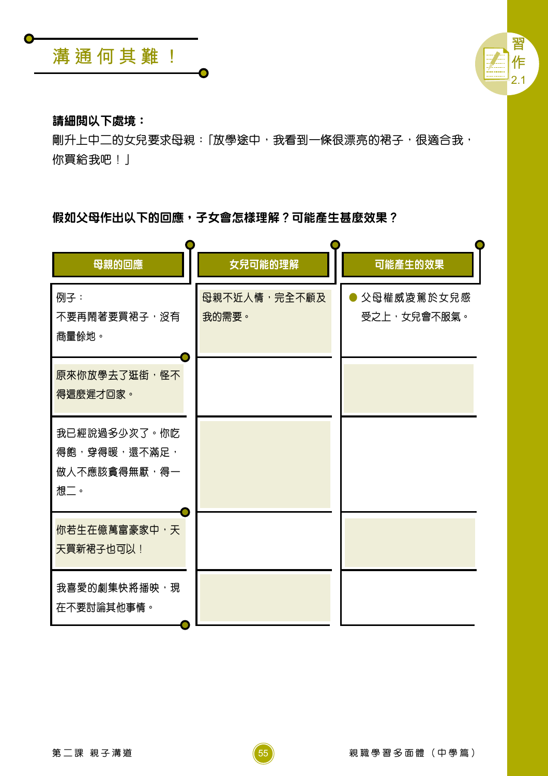



## 請細閲以下處境:

剛升上中二的女兒要求母親:「放學途中,我看到一條很漂亮的裙子,很適合我, 你買給我吧!」

## 假如父母作出以下的回應,子女會怎樣理解?可能產生甚麼效果?

| 母親的回應                                               | 女兒可能的理解                      | 可能產生的效果                   |
|-----------------------------------------------------|------------------------------|---------------------------|
| 例子:<br>不要再鬧著要買裙子,沒有<br>商量餘地。                        | <b>母親不近人情,完全不顧及</b><br>我的需要。 | 父母權威凌駕於女兒感<br>受之上,女兒會不服氣。 |
| 原來你放學去了逛街,怪不<br>得這麼遲才回家。                            |                              |                           |
| 我已經說過多少次了。你吃<br>得飽,穿得暖,還不滿足,<br>做人不應該貪得無厭,得一<br>想二。 |                              |                           |
| 你若生在億萬富豪家中,天<br>天買新裙子也可以!                           |                              |                           |
| 我喜愛的劇集快將播映, 現<br>在不要討論其他事情。                         |                              |                           |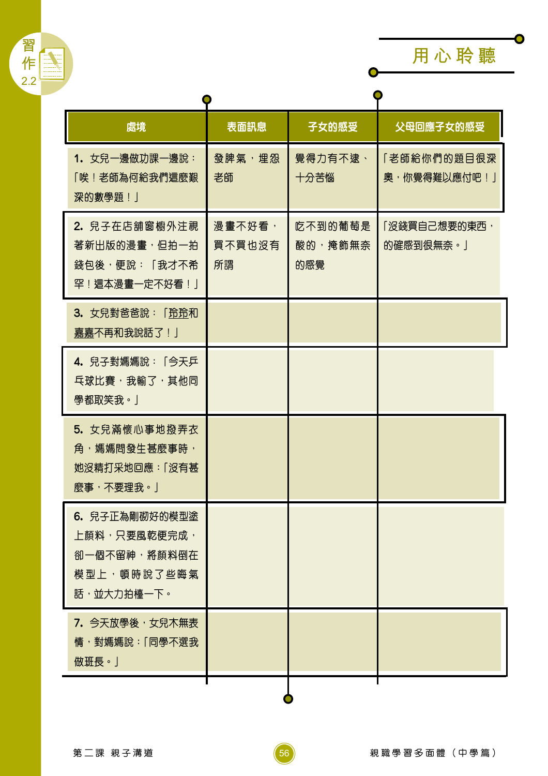

 $\overline{\bullet}$ 

| 處境                                                                                  | 表面訊息                   | 子女的感受                     | 父母回應子女的感受                     |  |
|-------------------------------------------------------------------------------------|------------------------|---------------------------|-------------------------------|--|
| 1. 女兒一邊做功課一邊說:<br>「唉!老師為何給我們這麼艱<br>深的數學題!」                                          | 發脾氣,埋怨<br>老師           | 覺得力有不逮、<br>十分苦惱           | 「老師給你們的題目很深<br>奧, 你覺得難以應付吧! 」 |  |
| 2. 兒子在店舖窗櫥外注視<br>著新出版的漫畫,但拍一拍<br>錢包後,便說:「我才不希<br>罕!這本漫畫一定不好看!」                      | 漫畫不好看,<br>買不買也沒有<br>所謂 | 吃不到的葡萄是<br>酸的,掩飾無奈<br>的感覺 | 「沒錢買自己想要的東西,<br>的確感到很無奈。」     |  |
| 3. 女兒對爸爸說:「玲玲和<br>嘉嘉不再和我說話了! 」                                                      |                        |                           |                               |  |
| 4. 兒子對媽媽說:「今天乒<br><b>乓球比賽,我輸了,其他同</b><br>學都取笑我。」                                    |                        |                           |                               |  |
| 5. 女兒滿懷心事地撥弄衣<br>角,媽媽問發生甚麼事時,<br>她沒精打采地回應:「沒有甚<br>麼事,不要理我。」                         |                        |                           |                               |  |
| 6. 兒子正為剛砌好的模型塗<br>上顏料,只要風乾便完成,<br>卻一個不留神, <b>將顏料倒在</b><br>模型上,頓時說了些晦氣<br>話,並大力拍檯一下。 |                        |                           |                               |  |
| 7. 今天放學後,女兒木無表<br>情,對媽媽說:「同學不選我<br>做班長。」                                            |                        |                           |                               |  |
|                                                                                     |                        |                           |                               |  |

 $\left(56\right)$